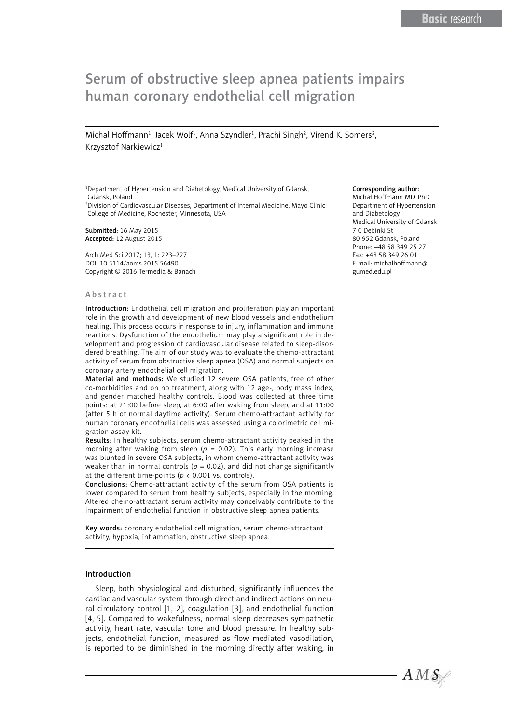# Serum of obstructive sleep apnea patients impairs human coronary endothelial cell migration

Michal Hoffmann<sup>1</sup>, Jacek Wolf<sup>1</sup>, Anna Szyndler<sup>1</sup>, Prachi Singh<sup>2</sup>, Virend K. Somers<sup>2</sup>, Krzysztof Narkiewicz<sup>1</sup>

<sup>1</sup>Department of Hypertension and Diabetology, Medical University of Gdansk, Gdansk, Poland

2 Division of Cardiovascular Diseases, Department of Internal Medicine, Mayo Clinic College of Medicine, Rochester, Minnesota, USA

Submitted: 16 May 2015 Accepted: 12 August 2015

Arch Med Sci 2017; 13, 1: 223–227 DOI: 10.5114/aoms.2015.56490 Copyright © 2016 Termedia & Banach

#### Abstract

Introduction: Endothelial cell migration and proliferation play an important role in the growth and development of new blood vessels and endothelium healing. This process occurs in response to injury, inflammation and immune reactions. Dysfunction of the endothelium may play a significant role in development and progression of cardiovascular disease related to sleep-disordered breathing. The aim of our study was to evaluate the chemo-attractant activity of serum from obstructive sleep apnea (OSA) and normal subjects on coronary artery endothelial cell migration.

Material and methods: We studied 12 severe OSA patients, free of other co-morbidities and on no treatment, along with 12 age-, body mass index, and gender matched healthy controls. Blood was collected at three time points: at 21:00 before sleep, at 6:00 after waking from sleep, and at 11:00 (after 5 h of normal daytime activity). Serum chemo-attractant activity for human coronary endothelial cells was assessed using a colorimetric cell migration assay kit.

Results: In healthy subjects, serum chemo-attractant activity peaked in the morning after waking from sleep ( $p = 0.02$ ). This early morning increase was blunted in severe OSA subjects, in whom chemo-attractant activity was weaker than in normal controls ( $p = 0.02$ ), and did not change significantly at the different time-points ( $p < 0.001$  vs. controls).

Conclusions: Chemo-attractant activity of the serum from OSA patients is lower compared to serum from healthy subjects, especially in the morning. Altered chemo-attractant serum activity may conceivably contribute to the impairment of endothelial function in obstructive sleep apnea patients.

Key words: coronary endothelial cell migration, serum chemo-attractant activity, hypoxia, inflammation, obstructive sleep apnea.

#### Introduction

Sleep, both physiological and disturbed, significantly influences the cardiac and vascular system through direct and indirect actions on neural circulatory control [1, 2], coagulation [3], and endothelial function [4, 5]. Compared to wakefulness, normal sleep decreases sympathetic activity, heart rate, vascular tone and blood pressure. In healthy subjects, endothelial function, measured as flow mediated vasodilation, is reported to be diminished in the morning directly after waking, in

#### Corresponding author:

Michał Hoffmann MD, PhD Department of Hypertension and Diabetology Medical University of Gdansk 7 C Dębinki St 80-952 Gdansk, Poland Phone: +48 58 349 25 27 Fax: +48 58 349 26 01 E-mail: michalhoffmann@ gumed.edu.pl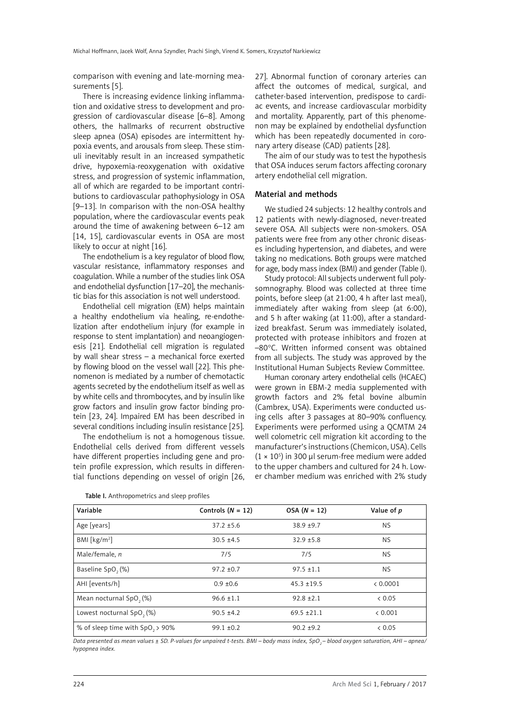comparison with evening and late-morning measurements [5].

There is increasing evidence linking inflammation and oxidative stress to development and progression of cardiovascular disease [6–8]. Among others, the hallmarks of recurrent obstructive sleep apnea (OSA) episodes are intermittent hypoxia events, and arousals from sleep. These stimuli inevitably result in an increased sympathetic drive, hypoxemia-reoxygenation with oxidative stress, and progression of systemic inflammation, all of which are regarded to be important contributions to cardiovascular pathophysiology in OSA [9–13]. In comparison with the non-OSA healthy population, where the cardiovascular events peak around the time of awakening between 6–12 am [14, 15], cardiovascular events in OSA are most likely to occur at night [16].

The endothelium is a key regulator of blood flow, vascular resistance, inflammatory responses and coagulation. While a number of the studies link OSA and endothelial dysfunction [17–20], the mechanistic bias for this association is not well understood.

Endothelial cell migration (EM) helps maintain a healthy endothelium via healing, re-endothelization after endothelium injury (for example in response to stent implantation) and neoangiogenesis [21]. Endothelial cell migration is regulated by wall shear stress – a mechanical force exerted by flowing blood on the vessel wall [22]. This phenomenon is mediated by a number of chemotactic agents secreted by the endothelium itself as well as by white cells and thrombocytes, and by insulin like grow factors and insulin grow factor binding protein [23, 24]. Impaired EM has been described in several conditions including insulin resistance [25].

The endothelium is not a homogenous tissue. Endothelial cells derived from different vessels have different properties including gene and protein profile expression, which results in differential functions depending on vessel of origin [26, 27]. Abnormal function of coronary arteries can affect the outcomes of medical, surgical, and catheter-based intervention, predispose to cardiac events, and increase cardiovascular morbidity and mortality. Apparently, part of this phenomenon may be explained by endothelial dysfunction which has been repeatedly documented in coronary artery disease (CAD) patients [28].

The aim of our study was to test the hypothesis that OSA induces serum factors affecting coronary artery endothelial cell migration.

# Material and methods

We studied 24 subjects: 12 healthy controls and 12 patients with newly-diagnosed, never-treated severe OSA. All subjects were non-smokers. OSA patients were free from any other chronic diseases including hypertension, and diabetes, and were taking no medications. Both groups were matched for age, body mass index (BMI) and gender (Table I).

Study protocol: All subjects underwent full polysomnography. Blood was collected at three time points, before sleep (at 21:00, 4 h after last meal), immediately after waking from sleep (at 6:00), and 5 h after waking (at 11:00), after a standardized breakfast. Serum was immediately isolated, protected with protease inhibitors and frozen at –80°C. Written informed consent was obtained from all subjects. The study was approved by the Institutional Human Subjects Review Committee.

Human coronary artery endothelial cells (HCAEC) were grown in EBM-2 media supplemented with growth factors and 2% fetal bovine albumin (Cambrex, USA). Experiments were conducted using cells after 3 passages at 80–90% confluency. Experiments were performed using a QCMTM 24 well colometric cell migration kit according to the manufacturer's instructions (Chemicon, USA). Cells  $(1 \times 10^5)$  in 300 µl serum-free medium were added to the upper chambers and cultured for 24 h. Lower chamber medium was enriched with 2% study

| Variable                                    | Controls $(N = 12)$ | $OSA (N = 12)$  | Value of p |
|---------------------------------------------|---------------------|-----------------|------------|
| Age [years]                                 | $37.2 \pm 5.6$      | $38.9 + 9.7$    | <b>NS</b>  |
| BMI [ $kg/m2$ ]                             | $30.5 + 4.5$        | $32.9 + 5.8$    | <b>NS</b>  |
| Male/female, n                              | 7/5                 | 7/5             | NS.        |
| Baseline SpO <sub>2</sub> (%)               | $97.2 \pm 0.7$      | $97.5 \pm 1.1$  | NS.        |
| AHI [events/h]                              | $0.9 \pm 0.6$       | $45.3 \pm 19.5$ | < 0.0001   |
| Mean nocturnal SpO <sub>2</sub> (%)         | $96.6 \pm 1.1$      | $92.8 \pm 2.1$  | & 0.05     |
| Lowest nocturnal SpO <sub>2</sub> (%)       | $90.5 \pm 4.2$      | $69.5 \pm 21.1$ | < 0.001    |
| % of sleep time with SpO <sub>2</sub> > 90% | $99.1 \pm 0.2$      | $90.2 + 9.2$    | & 0.05     |

Table I. Anthropometrics and sleep profiles

Data presented as mean values ± SD. P-values for unpaired t-tests. BMI – body mass index, SpO<sub>2</sub> – blood oxygen saturation, AHI – apnea/ *hypopnea index.*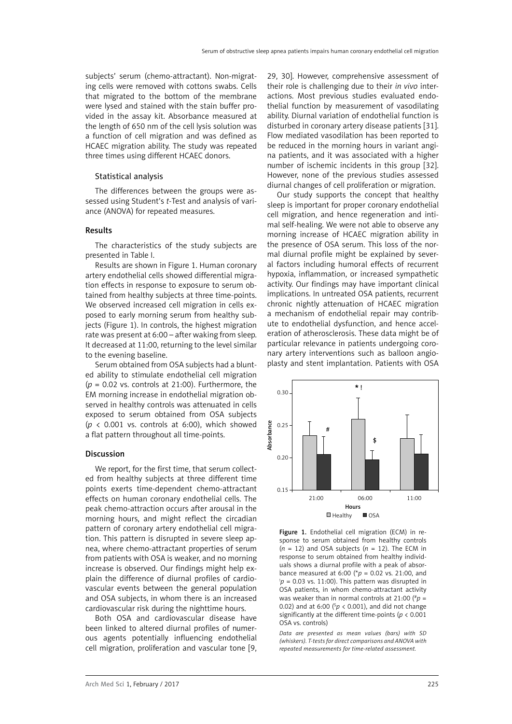subjects' serum (chemo-attractant). Non-migrating cells were removed with cottons swabs. Cells that migrated to the bottom of the membrane were lysed and stained with the stain buffer provided in the assay kit. Absorbance measured at the length of 650 nm of the cell lysis solution was a function of cell migration and was defined as HCAEC migration ability. The study was repeated three times using different HCAEC donors.

## Statistical analysis

The differences between the groups were assessed using Student's *t*-Test and analysis of variance (ANOVA) for repeated measures.

# Results

The characteristics of the study subjects are presented in Table I.

Results are shown in Figure 1. Human coronary artery endothelial cells showed differential migration effects in response to exposure to serum obtained from healthy subjects at three time-points. We observed increased cell migration in cells exposed to early morning serum from healthy subjects (Figure 1). In controls, the highest migration rate was present at 6:00 – after waking from sleep. It decreased at 11:00, returning to the level similar to the evening baseline.

Serum obtained from OSA subjects had a blunted ability to stimulate endothelial cell migration (*p* = 0.02 vs. controls at 21:00). Furthermore, the EM morning increase in endothelial migration observed in healthy controls was attenuated in cells exposed to serum obtained from OSA subjects ( $p \lt 0.001$  vs. controls at 6:00), which showed a flat pattern throughout all time-points.

#### Discussion

We report, for the first time, that serum collected from healthy subjects at three different time points exerts time-dependent chemo-attractant effects on human coronary endothelial cells. The peak chemo-attraction occurs after arousal in the morning hours, and might reflect the circadian pattern of coronary artery endothelial cell migration. This pattern is disrupted in severe sleep apnea, where chemo-attractant properties of serum from patients with OSA is weaker, and no morning increase is observed. Our findings might help explain the difference of diurnal profiles of cardiovascular events between the general population and OSA subjects, in whom there is an increased cardiovascular risk during the nighttime hours.

Both OSA and cardiovascular disease have been linked to altered diurnal profiles of numerous agents potentially influencing endothelial cell migration, proliferation and vascular tone [9,

29, 30]. However, comprehensive assessment of their role is challenging due to their *in vivo* interactions. Most previous studies evaluated endothelial function by measurement of vasodilating ability. Diurnal variation of endothelial function is disturbed in coronary artery disease patients [31]. Flow mediated vasodilation has been reported to be reduced in the morning hours in variant angina patients, and it was associated with a higher number of ischemic incidents in this group [32]. However, none of the previous studies assessed diurnal changes of cell proliferation or migration.

Our study supports the concept that healthy sleep is important for proper coronary endothelial cell migration, and hence regeneration and intimal self-healing. We were not able to observe any morning increase of HCAEC migration ability in the presence of OSA serum. This loss of the normal diurnal profile might be explained by several factors including humoral effects of recurrent hypoxia, inflammation, or increased sympathetic activity. Our findings may have important clinical implications. In untreated OSA patients, recurrent chronic nightly attenuation of HCAEC migration a mechanism of endothelial repair may contribute to endothelial dysfunction, and hence acceleration of atherosclerosis. These data might be of particular relevance in patients undergoing coronary artery interventions such as balloon angioplasty and stent implantation. Patients with OSA



Figure 1. Endothelial cell migration (ECM) in response to serum obtained from healthy controls  $(n = 12)$  and OSA subjects  $(n = 12)$ . The ECM in response to serum obtained from healthy individuals shows a diurnal profile with a peak of absorbance measured at 6:00 (\*p = 0.02 vs. 21:00, and  $p = 0.03$  vs. 11:00). This pattern was disrupted in OSA patients, in whom chemo-attractant activity was weaker than in normal controls at 21:00 (#*p* = 0.02) and at 6:00 ( $p$  < 0.001), and did not change significantly at the different time-points (*p* < 0.001 OSA vs. controls)

*Data are presented as mean values (bars) with SD (whiskers). T-tests for direct comparisons and ANOVA with repeated measurements for time-related assessment.*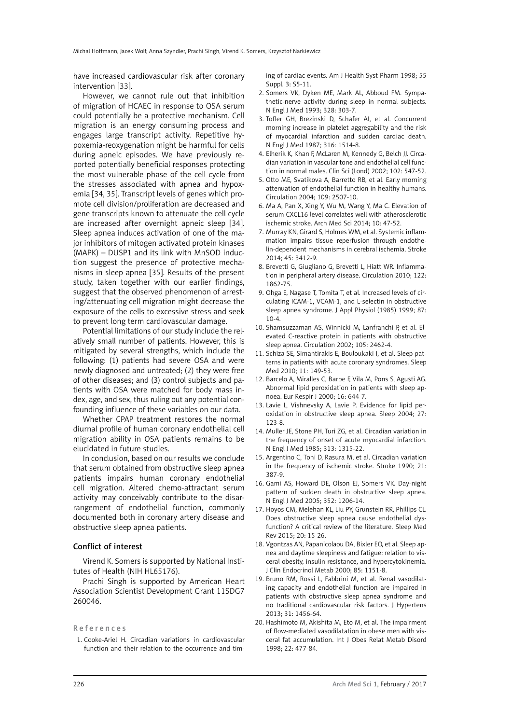have increased cardiovascular risk after coronary intervention [33].

However, we cannot rule out that inhibition of migration of HCAEC in response to OSA serum could potentially be a protective mechanism. Cell migration is an energy consuming process and engages large transcript activity. Repetitive hypoxemia-reoxygenation might be harmful for cells during apneic episodes. We have previously reported potentially beneficial responses protecting the most vulnerable phase of the cell cycle from the stresses associated with apnea and hypoxemia [34, 35]. Transcript levels of genes which promote cell division/proliferation are decreased and gene transcripts known to attenuate the cell cycle are increased after overnight apneic sleep [34]. Sleep apnea induces activation of one of the major inhibitors of mitogen activated protein kinases (MAPK) – DUSP1 and its link with MnSOD induction suggest the presence of protective mechanisms in sleep apnea [35]. Results of the present study, taken together with our earlier findings, suggest that the observed phenomenon of arresting/attenuating cell migration might decrease the exposure of the cells to excessive stress and seek to prevent long term cardiovascular damage.

Potential limitations of our study include the relatively small number of patients. However, this is mitigated by several strengths, which include the following: (1) patients had severe OSA and were newly diagnosed and untreated; (2) they were free of other diseases; and (3) control subjects and patients with OSA were matched for body mass index, age, and sex, thus ruling out any potential confounding influence of these variables on our data.

Whether CPAP treatment restores the normal diurnal profile of human coronary endothelial cell migration ability in OSA patients remains to be elucidated in future studies.

In conclusion, based on our results we conclude that serum obtained from obstructive sleep apnea patients impairs human coronary endothelial cell migration. Altered chemo-attractant serum activity may conceivably contribute to the disarrangement of endothelial function, commonly documented both in coronary artery disease and obstructive sleep apnea patients.

### Conflict of interest

Virend K. Somers is supported by National Institutes of Health (NIH HL65176).

Prachi Singh is supported by American Heart Association Scientist Development Grant 11SDG7 260046.

#### References

1. Cooke-Ariel H. Circadian variations in cardiovascular function and their relation to the occurrence and timing of cardiac events. Am J Health Syst Pharm 1998; 55 Suppl. 3: S5-11.

- 2. Somers VK, Dyken ME, Mark AL, Abboud FM. Sympathetic-nerve activity during sleep in normal subjects. N Engl J Med 1993; 328: 303-7.
- 3. Tofler GH, Brezinski D, Schafer AI, et al. Concurrent morning increase in platelet aggregability and the risk of myocardial infarction and sudden cardiac death. N Engl J Med 1987; 316: 1514-8.
- 4. Elherik K, Khan F, McLaren M, Kennedy G, Belch JJ. Circadian variation in vascular tone and endothelial cell function in normal males. Clin Sci (Lond) 2002; 102: 547-52.
- 5. Otto ME, Svatikova A, Barretto RB, et al. Early morning attenuation of endothelial function in healthy humans. Circulation 2004; 109: 2507-10.
- 6. Ma A, Pan X, Xing Y, Wu M, Wang Y, Ma C. Elevation of serum CXCL16 level correlates well with atherosclerotic ischemic stroke. Arch Med Sci 2014; 10: 47-52.
- 7. Murray KN, Girard S, Holmes WM, et al. Systemic inflammation impairs tissue reperfusion through endothelin-dependent mechanisms in cerebral ischemia. Stroke 2014; 45: 3412-9.
- 8. Brevetti G, Giugliano G, Brevetti L, Hiatt WR. Inflammation in peripheral artery disease. Circulation 2010; 122: 1862-75.
- 9. Ohga E, Nagase T, Tomita T, et al. Increased levels of circulating ICAM-1, VCAM-1, and L-selectin in obstructive sleep apnea syndrome. J Appl Physiol (1985) 1999; 87:  $10 - 4$
- 10. Shamsuzzaman AS, Winnicki M, Lanfranchi P, et al. Elevated C-reactive protein in patients with obstructive sleep apnea. Circulation 2002; 105: 2462-4.
- 11. Schiza SE, Simantirakis E, Bouloukaki I, et al. Sleep patterns in patients with acute coronary syndromes. Sleep Med 2010; 11: 149-53.
- 12. Barcelo A, Miralles C, Barbe F, Vila M, Pons S, Agusti AG. Abnormal lipid peroxidation in patients with sleep apnoea. Eur Respir J 2000; 16: 644-7.
- 13. Lavie L, Vishnevsky A, Lavie P. Evidence for lipid peroxidation in obstructive sleep apnea. Sleep 2004; 27: 123-8.
- 14. Muller JE, Stone PH, Turi ZG, et al. Circadian variation in the frequency of onset of acute myocardial infarction. N Engl J Med 1985; 313: 1315-22.
- 15. Argentino C, Toni D, Rasura M, et al. Circadian variation in the frequency of ischemic stroke. Stroke 1990; 21: 387-9.
- 16. Gami AS, Howard DE, Olson EJ, Somers VK. Day-night pattern of sudden death in obstructive sleep apnea. N Engl J Med 2005; 352: 1206-14.
- 17. Hoyos CM, Melehan KL, Liu PY, Grunstein RR, Phillips CL. Does obstructive sleep apnea cause endothelial dysfunction? A critical review of the literature. Sleep Med Rev 2015; 20: 15-26.
- 18. Vgontzas AN, Papanicolaou DA, Bixler EO, et al. Sleep apnea and daytime sleepiness and fatigue: relation to visceral obesity, insulin resistance, and hypercytokinemia. J Clin Endocrinol Metab 2000; 85: 1151-8.
- 19. Bruno RM, Rossi L, Fabbrini M, et al. Renal vasodilating capacity and endothelial function are impaired in patients with obstructive sleep apnea syndrome and no traditional cardiovascular risk factors. J Hypertens 2013; 31: 1456-64.
- 20. Hashimoto M, Akishita M, Eto M, et al. The impairment of flow-mediated vasodilatation in obese men with visceral fat accumulation. Int J Obes Relat Metab Disord 1998; 22: 477-84.